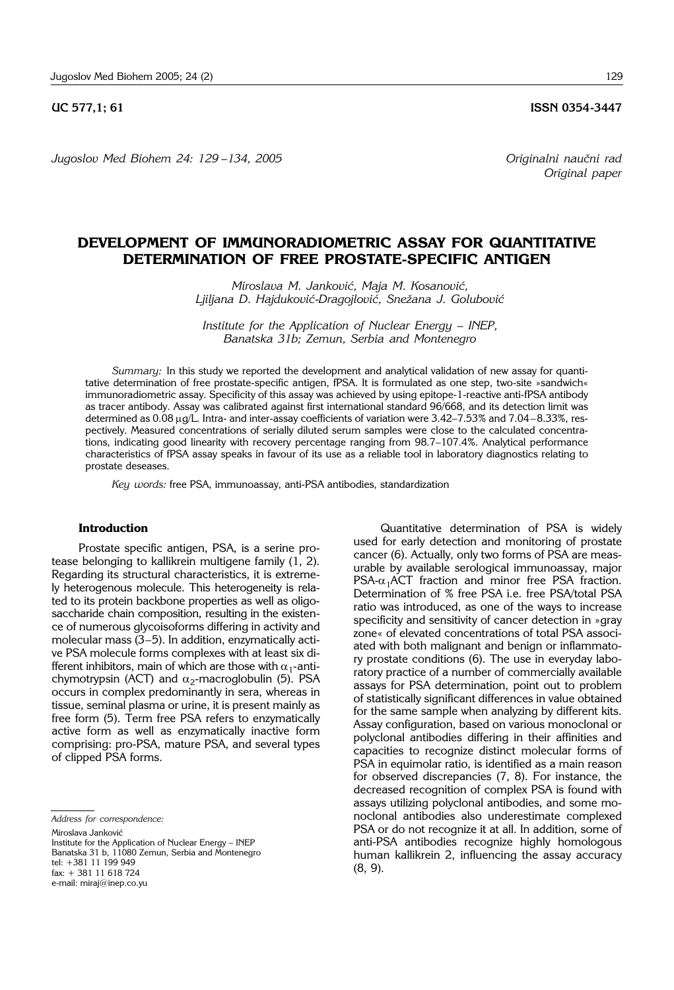### **UC 577.1: 61 ISSN 0354-3447**

*Jugoslov Med Biohem 24: 129 –134, 2005 Originalni nau~ni rad*

*Original paper*

# **DEVELOPMENT OF IMMUNORADIOMETRIC ASSAY FOR QUANTITATIVE DETERMINATION OF FREE PROSTATE-SPECIFIC ANTIGEN**

*Miroslava M. Janković, Maja M. Kosanović,* Ljiljana D. Hajduković-*Dragojlović*, Snežana J. Golubović

*Institute for the Application of Nuclear Energy – INEP, Banatska 31b; Zemun, Serbia and Montenegro*

*Summary:* In this study we reported the development and analytical validation of new assay for quantitative determination of free prostate-specific antigen, fPSA. It is formulated as one step, two-site »sandwich« immunoradiometric assay. Specificity of this assay was achieved by using epitope-1-reactive anti-fPSA antibody as tracer antibody. Assay was calibrated against first international standard 96/668, and its detection limit was determined as  $0.08 \mu g/L$ . Intra- and inter-assay coefficients of variation were 3.42-7.53% and 7.04-8.33%, respectively. Measured concentrations of serially diluted serum samples were close to the calculated concentrations, indicating good linearity with recovery percentage ranging from 98.7-107.4%. Analytical performance characteristics of fPSA assay speaks in favour of its use as a reliable tool in laboratory diagnostics relating to prostate deseases.

*Key words:* free PSA, immunoassay, anti-PSA antibodies, standardization

# **Introduction**

Prostate specific antigen, PSA, is a serine protease belonging to kallikrein multigene family (1, 2). Regarding its structural characteristics, it is extremely heterogenous molecule. This heterogeneity is related to its protein backbone properties as well as oligosaccharide chain composition, resulting in the existence of numerous glycoisoforms differing in activity and molecular mass  $(3-5)$ . In addition, enzymatically active PSA molecule forms complexes with at least six different inhibitors, main of which are those with  $\alpha_1$ -antichymotrypsin (ACT) and  $\alpha_2$ -macroglobulin (5). PSA occurs in complex predominantly in sera, whereas in tissue, seminal plasma or urine, it is present mainly as free form (5). Term free PSA refers to enzymatically active form as well as enzymatically inactive form comprising: pro-PSA, mature PSA, and several types of clipped PSA forms.

*Address for correspondence:*

Miroslava Janković

Institute for the Application of Nuclear Energy - INEP Banatska 31 b, 11080 Zemun, Serbia and Montenegro tel: +381 11 199 949 fax: + 381 11 618 724

e-mail: miraj@inep.co.yu

Quantitative determination of PSA is widely used for early detection and monitoring of prostate cancer (6). Actually, only two forms of PSA are measurable by available serological immunoassay, major  $PSA-\alpha_1$ ACT fraction and minor free PSA fraction. Determination of % free PSA i.e. free PSA/total PSA ratio was introduced, as one of the ways to increase specificity and sensitivity of cancer detection in »gray zone« of elevated concentrations of total PSA associated with both malignant and benign or inflammatory prostate conditions (6). The use in everyday laboratory practice of a number of commercially available assays for PSA determination, point out to problem of statistically significant differences in value obtained for the same sample when analyzing by different kits. Assay configuration, based on various monoclonal or polyclonal antibodies differing in their affinities and capacities to recognize distinct molecular forms of PSA in equimolar ratio, is identified as a main reason for observed discrepancies (7, 8). For instance, the decreased recognition of complex PSA is found with assays utilizing polyclonal antibodies, and some monoclonal antibodies also underestimate complexed PSA or do not recognize it at all. In addition, some of anti-PSA antibodies recognize highly homologous human kallikrein 2, influencing the assay accuracy (8, 9).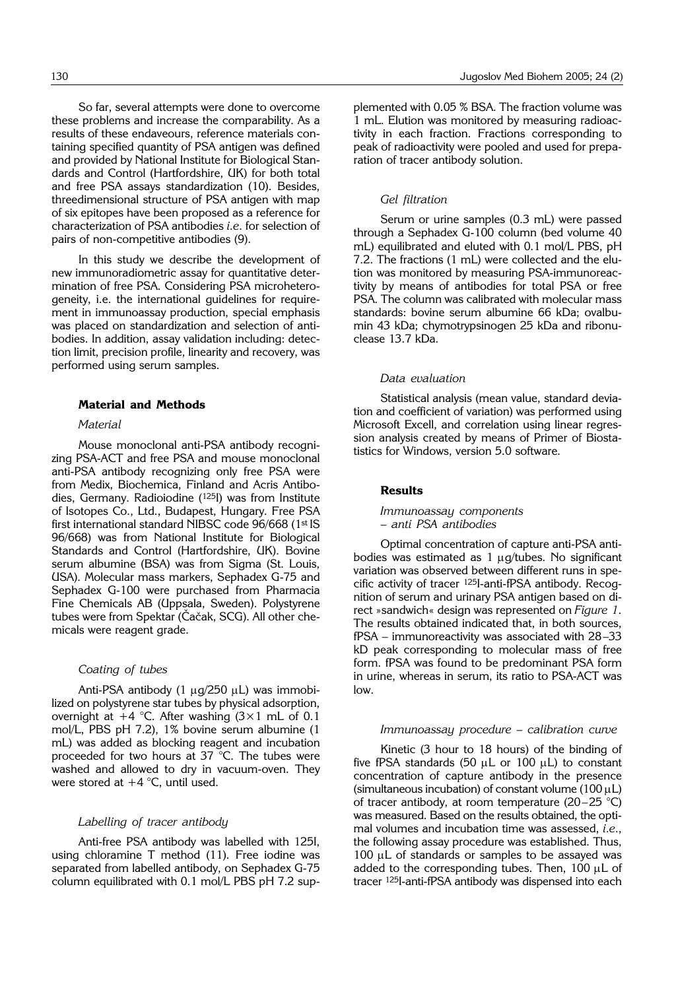So far, several attempts were done to overcome these problems and increase the comparability. As a results of these endaveours, reference materials containing specified quantity of PSA antigen was defined and provided by National Institute for Biological Standards and Control (Hartfordshire, UK) for both total and free PSA assays standardization (10). Besides, threedimensional structure of PSA antigen with map of six epitopes have been proposed as a reference for characterization of PSA antibodies *i.e*. for selection of pairs of non-competitive antibodies (9).

In this study we describe the development of new immunoradiometric assay for quantitative determination of free PSA. Considering PSA microheterogeneity, i.e. the international guidelines for requirement in immunoassay production, special emphasis was placed on standardization and selection of antibodies. In addition, assay validation including: detection limit, precision profile, linearity and recovery, was performed using serum samples.

## **Material and Methods**

#### *Material*

Mouse monoclonal anti-PSA antibody recognizing PSA-ACT and free PSA and mouse monoclonal anti-PSA antibody recognizing only free PSA were from Medix, Biochemica, Finland and Acris Antibodies, Germany. Radioiodine (125I) was from Institute of Isotopes Co., Ltd., Budapest, Hungary. Free PSA first international standard NIBSC code 96/668 (1st IS 96/668) was from National Institute for Biological Standards and Control (Hartfordshire, UK). Bovine serum albumine (BSA) was from Sigma (St. Louis, USA). Molecular mass markers, Sephadex G-75 and Sephadex G-100 were purchased from Pharmacia Fine Chemicals AB (Uppsala, Sweden). Polystyrene tubes were from Spektar (Čačak, SCG). All other chemicals were reagent grade.

#### *Coating of tubes*

Anti-PSA antibody  $(1 \mu g/250 \mu L)$  was immobilized on polystyrene star tubes by physical adsorption, overnight at  $+4$  °C. After washing  $(3 \times 1$  mL of 0.1 mol/L, PBS pH 7.2), 1% bovine serum albumine (1 mL) was added as blocking reagent and incubation proceeded for two hours at 37 °C. The tubes were washed and allowed to dry in vacuum-oven. They were stored at  $+4$  °C, until used.

#### *Labelling of tracer antibody*

Anti-free PSA antibody was labelled with 125I, using chloramine T method (11). Free iodine was separated from labelled antibody, on Sephadex G-75 column equilibrated with 0.1 mol/L PBS pH 7.2 supplemented with 0.05 % BSA. The fraction volume was 1 mL. Elution was monitored by measuring radioactivity in each fraction. Fractions corresponding to peak of radioactivity were pooled and used for preparation of tracer antibody solution.

#### *Gel filtration*

Serum or urine samples (0.3 mL) were passed through a Sephadex G-100 column (bed volume 40 mL) equilibrated and eluted with 0.1 mol/L PBS, pH 7.2. The fractions (1 mL) were collected and the elution was monitored by measuring PSA-immunoreactivity by means of antibodies for total PSA or free PSA. The column was calibrated with molecular mass standards: bovine serum albumine 66 kDa; ovalbumin 43 kDa; chymotrypsinogen 25 kDa and ribonuclease 13.7 kDa.

#### *Data evaluation*

Statistical analysis (mean value, standard deviation and coefficient of variation) was performed using Microsoft Excell, and correlation using linear regression analysis created by means of Primer of Biostatistics for Windows, version 5.0 software.

#### **Results**

*Immunoassay components – anti PSA antibodies*

Optimal concentration of capture anti-PSA antibodies was estimated as  $1 \mu q$ /tubes. No significant variation was observed between different runs in specific activity of tracer 125I-anti-fPSA antibody. Recognition of serum and urinary PSA antigen based on direct »sandwich« design was represented on *Figure 1.* The results obtained indicated that, in both sources,  $fPSA - immunoreactivity was associated with  $28-33$$ kD peak corresponding to molecular mass of free form. fPSA was found to be predominant PSA form in urine, whereas in serum, its ratio to PSA-ACT was low.

## *Immunoassay procedure - calibration curve*

Kinetic (3 hour to 18 hours) of the binding of five fPSA standards (50  $\mu$ L or 100  $\mu$ L) to constant concentration of capture antibody in the presence (simultaneous incubation) of constant volume (100  $\mu$ L) of tracer antibody, at room temperature (20-25 °C) was measured. Based on the results obtained, the optimal volumes and incubation time was assessed, *i.e*., the following assay procedure was established. Thus, 100  $\mu$ L of standards or samples to be assayed was added to the corresponding tubes. Then,  $100 \mu L$  of tracer 125I-anti-fPSA antibody was dispensed into each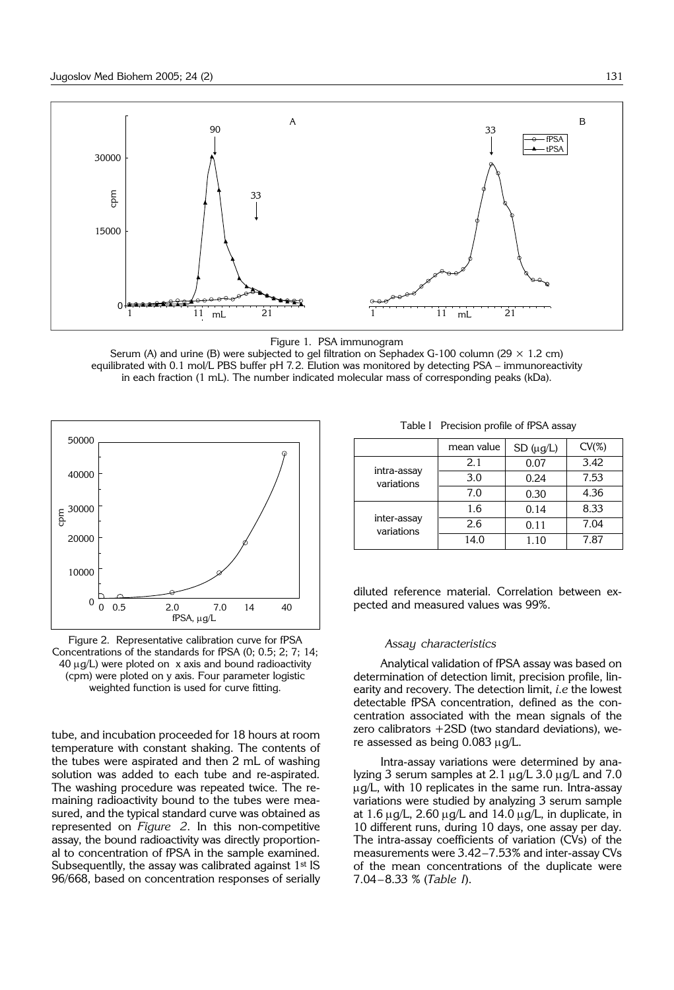

Figure 1. PSA immunogram

Serum (A) and urine (B) were subjected to gel filtration on Sephadex G-100 column (29  $\times$  1.2 cm) equilibrated with 0.1 mol/L PBS buffer pH 7.2. Elution was monitored by detecting PSA - immunoreactivity in each fraction (1 mL). The number indicated molecular mass of corresponding peaks (kDa).



Figure 2. Representative calibration curve for fPSA Concentrations of the standards for fPSA (0; 0.5; 2; 7; 14;  $40 \mu q/L$ ) were ploted on x axis and bound radioactivity (cpm) were ploted on y axis. Four parameter logistic weighted function is used for curve fitting.

tube, and incubation proceeded for 18 hours at room temperature with constant shaking. The contents of the tubes were aspirated and then 2 mL of washing solution was added to each tube and re-aspirated. The washing procedure was repeated twice. The remaining radioactivity bound to the tubes were measured, and the typical standard curve was obtained as represented on *Figure 2*. In this non-competitive assay, the bound radioactivity was directly proportional to concentration of fPSA in the sample examined. Subsequentlly, the assay was calibrated against 1<sup>st</sup> IS 96/668, based on concentration responses of serially

|                           | mean value | $SD(\mu g/L)$ | $CV(\%)$ |
|---------------------------|------------|---------------|----------|
| intra-assay<br>variations | 2.1        | 0.07          | 3.42     |
|                           | 3.0        | 0.24          | 7.53     |
|                           | 7.0        | 0.30          | 4.36     |
| inter-assay<br>variations | 1.6        | 0.14          | 8.33     |
|                           | 2.6        | 0.11          | 7.04     |
|                           | 14.0       | 1.10          | 7.87     |

diluted reference material. Correlation between expected and measured values was 99%.

#### *Assay characteristics*

Analytical validation of fPSA assay was based on determination of detection limit, precision profile, linearity and recovery. The detection limit, *i.e* the lowest detectable fPSA concentration, defined as the concentration associated with the mean signals of the zero calibrators +2SD (two standard deviations), were assessed as being  $0.083 \mu$ g/L.

Intra-assay variations were determined by analyzing 3 serum samples at 2.1  $\mu$ g/L 3.0  $\mu$ g/L and 7.0  $\mu$ g/L, with 10 replicates in the same run. Intra-assay variations were studied by analyzing 3 serum sample at 1.6  $\mu$ g/L, 2.60  $\mu$ g/L and 14.0  $\mu$ g/L, in duplicate, in 10 different runs, during 10 days, one assay per day. The intra-assay coefficients of variation (CVs) of the measurements were  $3.42-7.53\%$  and inter-assay CVs of the mean concentrations of the duplicate were 7.04-8.33 % (Table I).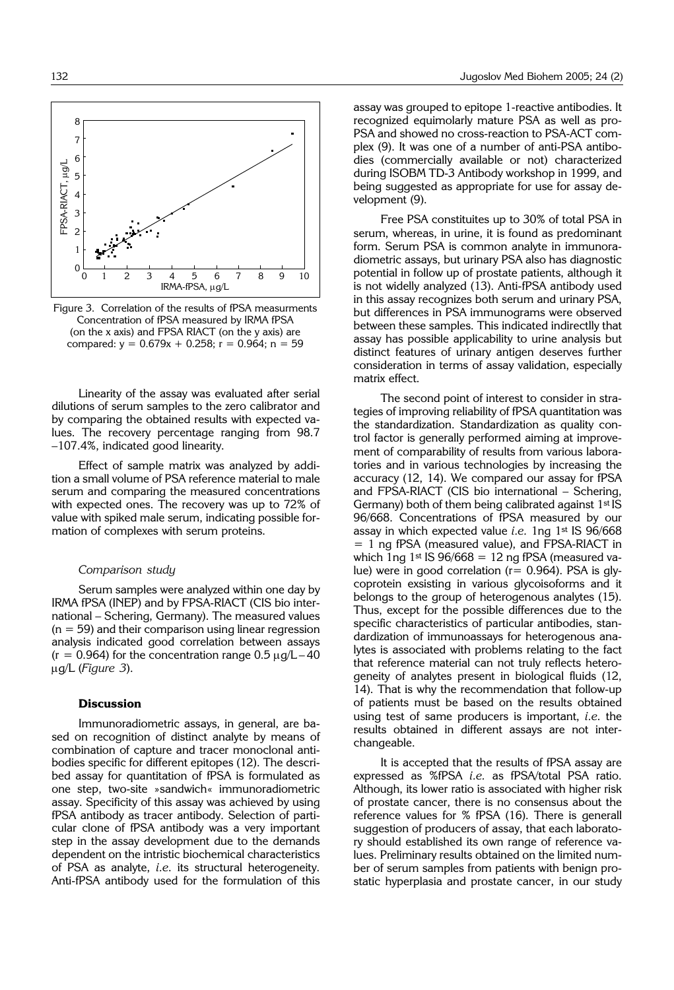

Figure 3. Correlation of the results of fPSA measurments Concentration of fPSA measured by IRMA fPSA (on the x axis) and FPSA RIACT (on the y axis) are compared:  $y = 0.679x + 0.258$ ;  $r = 0.964$ ;  $n = 59$ 

Linearity of the assay was evaluated after serial dilutions of serum samples to the zero calibrator and by comparing the obtained results with expected values. The recovery percentage ranging from 98.7 -107.4%, indicated good linearity.

Effect of sample matrix was analyzed by addition a small volume of PSA reference material to male serum and comparing the measured concentrations with expected ones. The recovery was up to 72% of value with spiked male serum, indicating possible formation of complexes with serum proteins.

#### *Comparison study*

Serum samples were analyzed within one day by IRMA fPSA (INEP) and by FPSA-RIACT (CIS bio international - Schering, Germany). The measured values  $(n = 59)$  and their comparison using linear regression analysis indicated good correlation between assays  $(r = 0.964)$  for the concentration range  $0.5 \mu g/L - 40$ mg/L (*Figure 3*).

## **Discussion**

Immunoradiometric assays, in general, are based on recognition of distinct analyte by means of combination of capture and tracer monoclonal antibodies specific for different epitopes (12). The described assay for quantitation of fPSA is formulated as one step, two-site »sandwich« immunoradiometric assay. Specificity of this assay was achieved by using fPSA antibody as tracer antibody. Selection of particular clone of fPSA antibody was a very important step in the assay development due to the demands dependent on the intristic biochemical characteristics of PSA as analyte, *i.e*. its structural heterogeneity. Anti-fPSA antibody used for the formulation of this

assay was grouped to epitope 1-reactive antibodies. It recognized equimolarly mature PSA as well as pro-PSA and showed no cross-reaction to PSA-ACT complex (9). It was one of a number of anti-PSA antibodies (commercially available or not) characterized during ISOBM TD-3 Antibody workshop in 1999, and being suggested as appropriate for use for assay development (9).

Free PSA constituites up to 30% of total PSA in serum, whereas, in urine, it is found as predominant form. Serum PSA is common analyte in immunoradiometric assays, but urinary PSA also has diagnostic potential in follow up of prostate patients, although it is not widelly analyzed (13). Anti-fPSA antibody used in this assay recognizes both serum and urinary PSA, but differences in PSA immunograms were observed between these samples. This indicated indirectlly that assay has possible applicability to urine analysis but distinct features of urinary antigen deserves further consideration in terms of assay validation, especially matrix effect.

The second point of interest to consider in strategies of improving reliability of fPSA quantitation was the standardization. Standardization as quality control factor is generally performed aiming at improvement of comparability of results from various laboratories and in various technologies by increasing the accuracy (12, 14). We compared our assay for fPSA and FPSA-RIACT (CIS bio international - Schering, Germany) both of them being calibrated against  $1<sup>st</sup>$  IS 96/668. Concentrations of fPSA measured by our assay in which expected value *i.e.* 1ng 1st IS 96/668 = 1 ng fPSA (measured value), and FPSA-RIACT in which 1ng 1st IS  $96/668 = 12$  ng fPSA (measured value) were in good correlation ( $r= 0.964$ ). PSA is glycoprotein exsisting in various glycoisoforms and it belongs to the group of heterogenous analytes (15). Thus, except for the possible differences due to the specific characteristics of particular antibodies, standardization of immunoassays for heterogenous analytes is associated with problems relating to the fact that reference material can not truly reflects heterogeneity of analytes present in biological fluids (12, 14). That is why the recommendation that follow-up of patients must be based on the results obtained using test of same producers is important, *i.e*. the results obtained in different assays are not interchangeable.

It is accepted that the results of fPSA assay are expressed as %fPSA *i.e.* as fPSA/total PSA ratio. Although, its lower ratio is associated with higher risk of prostate cancer, there is no consensus about the reference values for % fPSA (16). There is generall suggestion of producers of assay, that each laboratory should established its own range of reference values. Preliminary results obtained on the limited number of serum samples from patients with benign prostatic hyperplasia and prostate cancer, in our study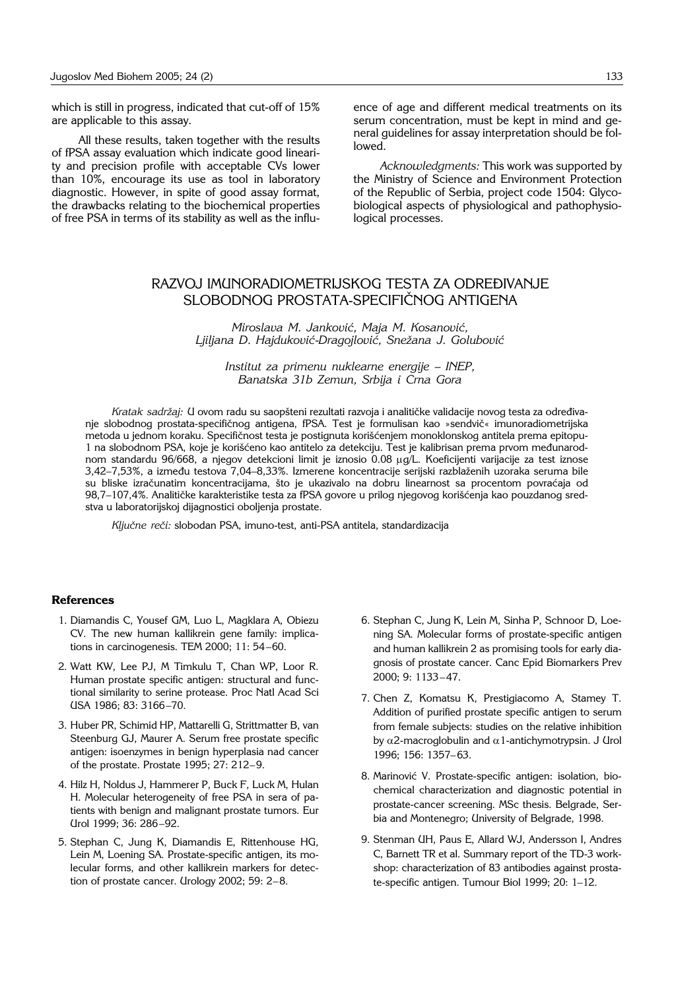which is still in progress, indicated that cut-off of 15% are applicable to this assay.

All these results, taken together with the results of fPSA assay evaluation which indicate good linearity and precision profile with acceptable CVs lower than 10%, encourage its use as tool in laboratory diagnostic. However, in spite of good assay format, the drawbacks relating to the biochemical properties of free PSA in terms of its stability as well as the influence of age and different medical treatments on its serum concentration, must be kept in mind and general guidelines for assay interpretation should be followed.

*Acknowledgments:* This work was supported by the Ministry of Science and Environment Protection of the Republic of Serbia, project code 1504: Glycobiological aspects of physiological and pathophysiological processes.

# RAZVOJ IMUNORADIOMETRIJSKOG TESTA ZA ODREĐIVANJE SLOBODNOG PROSTATA-SPECIFIČNOG ANTIGENA

*Miroslava M. Janković, Maja M. Kosanović, Ljiljana D. Hajdukovi}*-*Dragojlovi}, Sne`ana J. Golubovi}*

*Institut za primenu nuklearne energije – INEP, Banatska 31b Zemun, Srbija i Crna Gora*

*Kratak sadržaj: U ovom radu su saopšteni rezultati razvoja i analitičke validacije novog testa za određiva*nje slobodnog prostata-specifičnog antigena, fPSA. Test je formulisan kao »sendvič« imunoradiometrijska metoda u jednom koraku. Specifičnost testa je postignuta korišćenjem monoklonskog antitela prema epitopu-1 na slobodnom PSA, koje je korišćeno kao antitelo za detekciju. Test je kalibrisan prema prvom međunarodnom standardu 96/668, a njegov detekcioni limit je iznosio 0.08 mg/L. Koeficijenti varijacije za test iznose 3,42-7,53%, a između testova 7,04-8,33%. Izmerene koncentracije serijski razblaženih uzoraka seruma bile su bliske izračunatim koncentracijama, što je ukazivalo na dobru linearnost sa procentom povraćaja od 98,7-107,4%. Analitičke karakteristike testa za fPSA govore u prilog njegovog korišćenja kao pouzdanog sredstva u laboratorijskoj dijagnostici oboljenja prostate.

Ključne reči: slobodan PSA, imuno-test, anti-PSA antitela, standardizacija

## **References**

- 1. Diamandis C, Yousef GM, Luo L, Magklara A, Obiezu CV. The new human kallikrein gene family: implications in carcinogenesis. TEM 2000;  $11:54-60$ .
- 2. Watt KW, Lee PJ, M Timkulu T, Chan WP, Loor R. Human prostate specific antigen: structural and functional similarity to serine protease. Proc Natl Acad Sci USA 1986; 83: 3166-70.
- 3. Huber PR, Schimid HP, Mattarelli G, Strittmatter B, van Steenburg GJ, Maurer A. Serum free prostate specific antigen: isoenzymes in benign hyperplasia nad cancer of the prostate. Prostate 1995; 27: 212-9.
- 4. Hilz H, Noldus J, Hammerer P, Buck F, Luck M, Hulan H. Molecular heterogeneity of free PSA in sera of patients with benign and malignant prostate tumors. Eur Urol 1999; 36: 286-92.
- 5. Stephan C, Jung K, Diamandis E, Rittenhouse HG, Lein M, Loening SA. Prostate-specific antigen, its molecular forms, and other kallikrein markers for detection of prostate cancer.  $U$ rology 2002; 59: 2-8.
- 6. Stephan C, Jung K, Lein M, Sinha P, Schnoor D, Loening SA. Molecular forms of prostate-specific antigen and human kallikrein 2 as promising tools for early diagnosis of prostate cancer. Canc Epid Biomarkers Prev 2000; 9: 1133-47.
- 7. Chen Z, Komatsu K, Prestigiacomo A, Stamey T. Addition of purified prostate specific antigen to serum from female subjects: studies on the relative inhibition by  $\alpha$ 2-macroglobulin and  $\alpha$ 1-antichymotrypsin. J Urol 1996; 156: 1357-63.
- 8. Marinović V. Prostate-specific antigen: isolation, biochemical characterization and diagnostic potential in prostate-cancer screening. MSc thesis. Belgrade, Serbia and Montenegro; University of Belgrade, 1998.
- 9. Stenman UH, Paus E, Allard WJ, Andersson I, Andres C, Barnett TR et al. Summary report of the TD-3 workshop: characterization of 83 antibodies against prostate-specific antigen. Tumour Biol 1999; 20: 1-12.